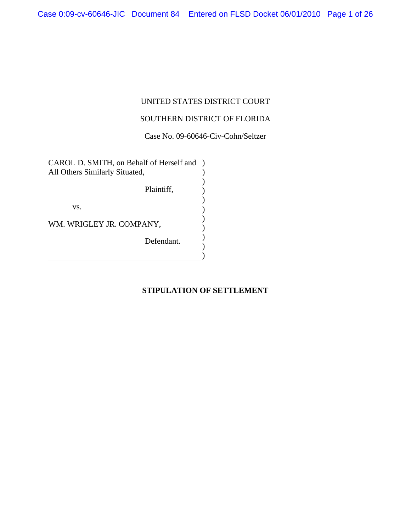# UNITED STATES DISTRICT COURT

# SOUTHERN DISTRICT OF FLORIDA

Case No. 09-60646-Civ-Cohn/Seltzer

CAROL D. SMITH, on Behalf of Herself and ) All Others Similarly Situated, Plaintiff, vs. WM. WRIGLEY JR. COMPANY, Defendant. )  $\overline{)}$ ) ) ) ) ) ) )  $\overline{)}$ 

# **STIPULATION OF SETTLEMENT**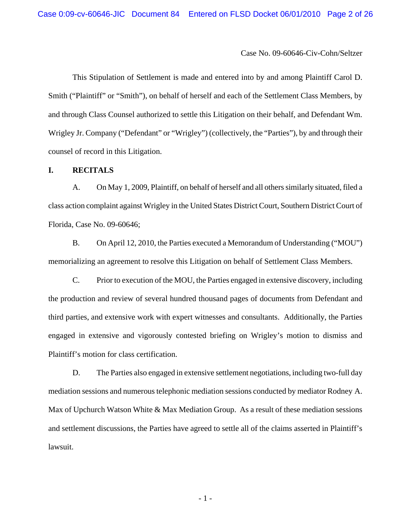This Stipulation of Settlement is made and entered into by and among Plaintiff Carol D. Smith ("Plaintiff" or "Smith"), on behalf of herself and each of the Settlement Class Members, by and through Class Counsel authorized to settle this Litigation on their behalf, and Defendant Wm. Wrigley Jr. Company ("Defendant" or "Wrigley") (collectively, the "Parties"), by and through their counsel of record in this Litigation.

### **I. RECITALS**

A. On May 1, 2009, Plaintiff, on behalf of herself and all others similarly situated, filed a class action complaint against Wrigley in the United States District Court, Southern District Court of Florida, Case No. 09-60646;

B. On April 12, 2010, the Parties executed a Memorandum of Understanding ("MOU") memorializing an agreement to resolve this Litigation on behalf of Settlement Class Members.

C. Prior to execution of the MOU, the Parties engaged in extensive discovery, including the production and review of several hundred thousand pages of documents from Defendant and third parties, and extensive work with expert witnesses and consultants. Additionally, the Parties engaged in extensive and vigorously contested briefing on Wrigley's motion to dismiss and Plaintiff's motion for class certification.

D. The Parties also engaged in extensive settlement negotiations, including two-full day mediation sessions and numerous telephonic mediation sessions conducted by mediator Rodney A. Max of Upchurch Watson White & Max Mediation Group. As a result of these mediation sessions and settlement discussions, the Parties have agreed to settle all of the claims asserted in Plaintiff's lawsuit.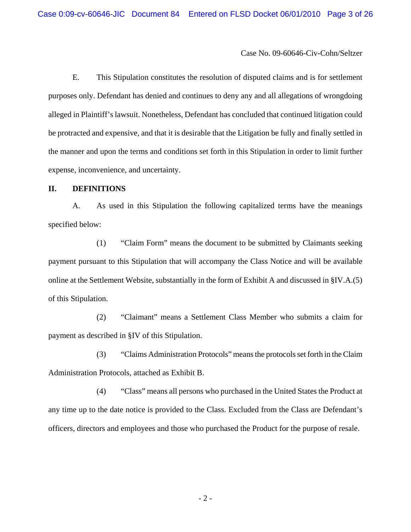E. This Stipulation constitutes the resolution of disputed claims and is for settlement purposes only. Defendant has denied and continues to deny any and all allegations of wrongdoing alleged in Plaintiff's lawsuit. Nonetheless, Defendant has concluded that continued litigation could be protracted and expensive, and that it is desirable that the Litigation be fully and finally settled in the manner and upon the terms and conditions set forth in this Stipulation in order to limit further expense, inconvenience, and uncertainty.

### **II. DEFINITIONS**

A. As used in this Stipulation the following capitalized terms have the meanings specified below:

(1) "Claim Form" means the document to be submitted by Claimants seeking payment pursuant to this Stipulation that will accompany the Class Notice and will be available online at the Settlement Website, substantially in the form of Exhibit A and discussed in §IV.A.(5) of this Stipulation.

(2) "Claimant" means a Settlement Class Member who submits a claim for payment as described in §IV of this Stipulation.

(3) "Claims Administration Protocols" means the protocols set forth in the Claim Administration Protocols, attached as Exhibit B.

(4) "Class" means all persons who purchased in the United States the Product at any time up to the date notice is provided to the Class. Excluded from the Class are Defendant's officers, directors and employees and those who purchased the Product for the purpose of resale.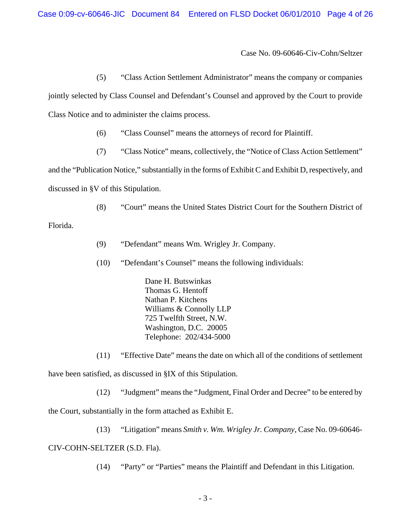(5) "Class Action Settlement Administrator" means the company or companies

jointly selected by Class Counsel and Defendant's Counsel and approved by the Court to provide Class Notice and to administer the claims process.

- (6) "Class Counsel" means the attorneys of record for Plaintiff.
- (7) "Class Notice" means, collectively, the "Notice of Class Action Settlement"

and the "Publication Notice," substantially in the forms of Exhibit C and Exhibit D, respectively, and discussed in §V of this Stipulation.

(8) "Court" means the United States District Court for the Southern District of

Florida.

- (9) "Defendant" means Wm. Wrigley Jr. Company.
- (10) "Defendant's Counsel" means the following individuals:

Dane H. Butswinkas Thomas G. Hentoff Nathan P. Kitchens Williams & Connolly LLP 725 Twelfth Street, N.W. Washington, D.C. 20005 Telephone: 202/434-5000

(11) "Effective Date" means the date on which all of the conditions of settlement have been satisfied, as discussed in §IX of this Stipulation.

(12) "Judgment" means the "Judgment, Final Order and Decree" to be entered by the Court, substantially in the form attached as Exhibit E.

(13) "Litigation" means *Smith v. Wm. Wrigley Jr. Company*, Case No. 09-60646- CIV-COHN-SELTZER (S.D. Fla).

(14) "Party" or "Parties" means the Plaintiff and Defendant in this Litigation.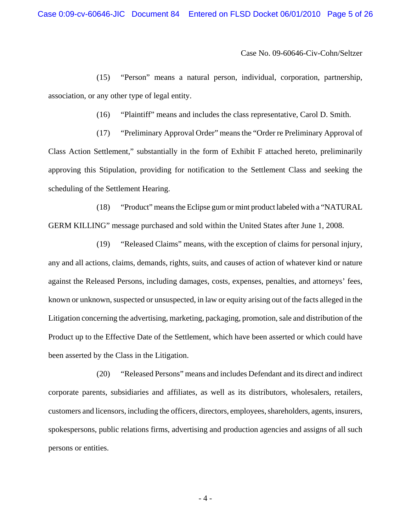(15) "Person" means a natural person, individual, corporation, partnership, association, or any other type of legal entity.

(16) "Plaintiff" means and includes the class representative, Carol D. Smith.

(17) "Preliminary Approval Order" means the "Order re Preliminary Approval of Class Action Settlement," substantially in the form of Exhibit F attached hereto, preliminarily approving this Stipulation, providing for notification to the Settlement Class and seeking the scheduling of the Settlement Hearing.

(18) "Product" means the Eclipse gum or mint product labeled with a "NATURAL GERM KILLING" message purchased and sold within the United States after June 1, 2008.

(19) "Released Claims" means, with the exception of claims for personal injury, any and all actions, claims, demands, rights, suits, and causes of action of whatever kind or nature against the Released Persons, including damages, costs, expenses, penalties, and attorneys' fees, known or unknown, suspected or unsuspected, in law or equity arising out of the facts alleged in the Litigation concerning the advertising, marketing, packaging, promotion, sale and distribution of the Product up to the Effective Date of the Settlement, which have been asserted or which could have been asserted by the Class in the Litigation.

(20) "Released Persons" means and includes Defendant and its direct and indirect corporate parents, subsidiaries and affiliates, as well as its distributors, wholesalers, retailers, customers and licensors, including the officers, directors, employees, shareholders, agents, insurers, spokespersons, public relations firms, advertising and production agencies and assigns of all such persons or entities.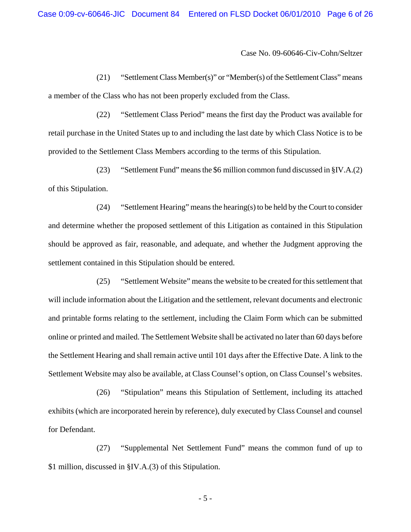(21) "Settlement Class Member(s)" or "Member(s) of the Settlement Class" means a member of the Class who has not been properly excluded from the Class.

(22) "Settlement Class Period" means the first day the Product was available for retail purchase in the United States up to and including the last date by which Class Notice is to be provided to the Settlement Class Members according to the terms of this Stipulation.

(23) "Settlement Fund" means the \$6 million common fund discussed in §IV.A.(2) of this Stipulation.

(24) "Settlement Hearing" means the hearing(s) to be held by the Court to consider and determine whether the proposed settlement of this Litigation as contained in this Stipulation should be approved as fair, reasonable, and adequate, and whether the Judgment approving the settlement contained in this Stipulation should be entered.

(25) "Settlement Website" means the website to be created for this settlement that will include information about the Litigation and the settlement, relevant documents and electronic and printable forms relating to the settlement, including the Claim Form which can be submitted online or printed and mailed. The Settlement Website shall be activated no later than 60 days before the Settlement Hearing and shall remain active until 101 days after the Effective Date. A link to the Settlement Website may also be available, at Class Counsel's option, on Class Counsel's websites.

(26) "Stipulation" means this Stipulation of Settlement, including its attached exhibits (which are incorporated herein by reference), duly executed by Class Counsel and counsel for Defendant.

(27) "Supplemental Net Settlement Fund" means the common fund of up to \$1 million, discussed in §IV.A.(3) of this Stipulation.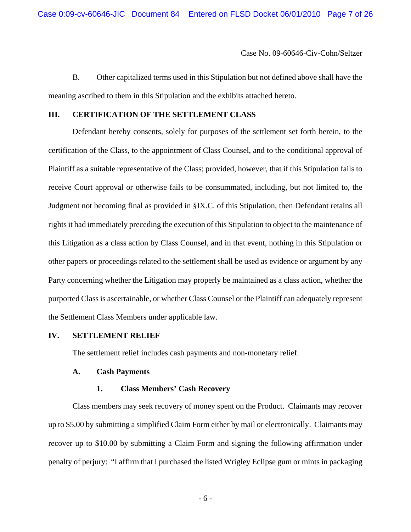B. Other capitalized terms used in this Stipulation but not defined above shall have the meaning ascribed to them in this Stipulation and the exhibits attached hereto.

#### **III. CERTIFICATION OF THE SETTLEMENT CLASS**

Defendant hereby consents, solely for purposes of the settlement set forth herein, to the certification of the Class, to the appointment of Class Counsel, and to the conditional approval of Plaintiff as a suitable representative of the Class; provided, however, that if this Stipulation fails to receive Court approval or otherwise fails to be consummated, including, but not limited to, the Judgment not becoming final as provided in §IX.C. of this Stipulation, then Defendant retains all rights it had immediately preceding the execution of this Stipulation to object to the maintenance of this Litigation as a class action by Class Counsel, and in that event, nothing in this Stipulation or other papers or proceedings related to the settlement shall be used as evidence or argument by any Party concerning whether the Litigation may properly be maintained as a class action, whether the purported Class is ascertainable, or whether Class Counsel or the Plaintiff can adequately represent the Settlement Class Members under applicable law.

#### **IV. SETTLEMENT RELIEF**

The settlement relief includes cash payments and non-monetary relief.

#### **A. Cash Payments**

#### **1. Class Members' Cash Recovery**

Class members may seek recovery of money spent on the Product. Claimants may recover up to \$5.00 by submitting a simplified Claim Form either by mail or electronically. Claimants may recover up to \$10.00 by submitting a Claim Form and signing the following affirmation under penalty of perjury: "I affirm that I purchased the listed Wrigley Eclipse gum or mints in packaging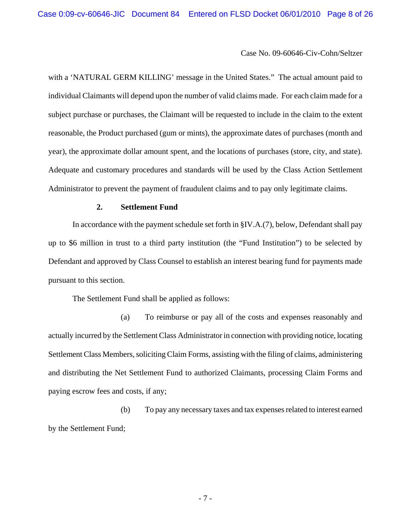with a 'NATURAL GERM KILLING' message in the United States." The actual amount paid to individual Claimants will depend upon the number of valid claims made. For each claim made for a subject purchase or purchases, the Claimant will be requested to include in the claim to the extent reasonable, the Product purchased (gum or mints), the approximate dates of purchases (month and year), the approximate dollar amount spent, and the locations of purchases (store, city, and state). Adequate and customary procedures and standards will be used by the Class Action Settlement Administrator to prevent the payment of fraudulent claims and to pay only legitimate claims.

### **2. Settlement Fund**

In accordance with the payment schedule set forth in §IV.A.(7), below, Defendant shall pay up to \$6 million in trust to a third party institution (the "Fund Institution") to be selected by Defendant and approved by Class Counsel to establish an interest bearing fund for payments made pursuant to this section.

The Settlement Fund shall be applied as follows:

(a) To reimburse or pay all of the costs and expenses reasonably and actually incurred by the Settlement Class Administrator in connection with providing notice, locating Settlement Class Members, soliciting Claim Forms, assisting with the filing of claims, administering and distributing the Net Settlement Fund to authorized Claimants, processing Claim Forms and paying escrow fees and costs, if any;

(b) To pay any necessary taxes and tax expenses related to interest earned by the Settlement Fund;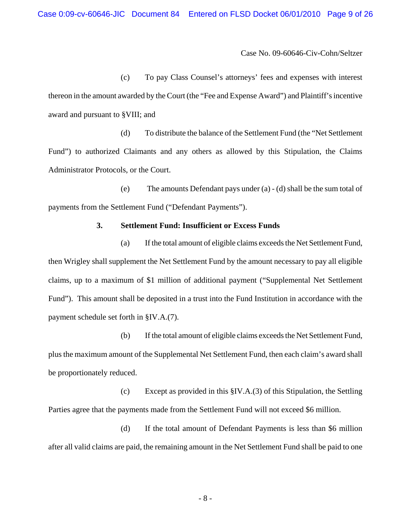(c) To pay Class Counsel's attorneys' fees and expenses with interest thereon in the amount awarded by the Court (the "Fee and Expense Award") and Plaintiff's incentive award and pursuant to §VIII; and

(d) To distribute the balance of the Settlement Fund (the "Net Settlement Fund") to authorized Claimants and any others as allowed by this Stipulation, the Claims Administrator Protocols, or the Court.

(e) The amounts Defendant pays under (a) - (d) shall be the sum total of payments from the Settlement Fund ("Defendant Payments").

### **3. Settlement Fund: Insufficient or Excess Funds**

(a) If the total amount of eligible claims exceeds the Net Settlement Fund, then Wrigley shall supplement the Net Settlement Fund by the amount necessary to pay all eligible claims, up to a maximum of \$1 million of additional payment ("Supplemental Net Settlement Fund"). This amount shall be deposited in a trust into the Fund Institution in accordance with the payment schedule set forth in §IV.A.(7).

(b) If the total amount of eligible claims exceeds the Net Settlement Fund, plus the maximum amount of the Supplemental Net Settlement Fund, then each claim's award shall be proportionately reduced.

(c) Except as provided in this §IV.A.(3) of this Stipulation, the Settling Parties agree that the payments made from the Settlement Fund will not exceed \$6 million.

(d) If the total amount of Defendant Payments is less than \$6 million after all valid claims are paid, the remaining amount in the Net Settlement Fund shall be paid to one

- 8 -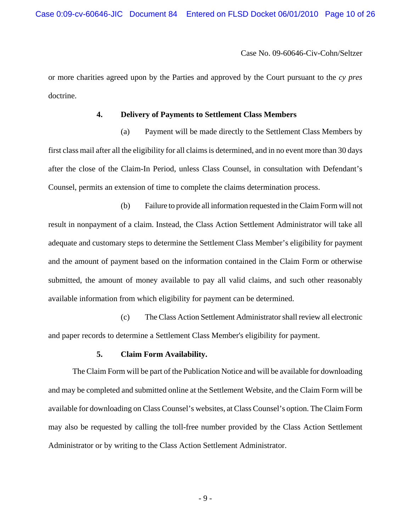Case 0:09-cv-60646-JIC Document 84 Entered on FLSD Docket 06/01/2010 Page 10 of 26

Case No. 09-60646-Civ-Cohn/Seltzer

or more charities agreed upon by the Parties and approved by the Court pursuant to the *cy pres* doctrine.

#### **4. Delivery of Payments to Settlement Class Members**

(a) Payment will be made directly to the Settlement Class Members by first class mail after all the eligibility for all claims is determined, and in no event more than 30 days after the close of the Claim-In Period, unless Class Counsel, in consultation with Defendant's Counsel, permits an extension of time to complete the claims determination process.

(b) Failure to provide all information requested in the Claim Form will not result in nonpayment of a claim. Instead, the Class Action Settlement Administrator will take all adequate and customary steps to determine the Settlement Class Member's eligibility for payment and the amount of payment based on the information contained in the Claim Form or otherwise submitted, the amount of money available to pay all valid claims, and such other reasonably available information from which eligibility for payment can be determined.

(c) The Class Action Settlement Administrator shall review all electronic and paper records to determine a Settlement Class Member's eligibility for payment.

#### **5. Claim Form Availability.**

The Claim Form will be part of the Publication Notice and will be available for downloading and may be completed and submitted online at the Settlement Website, and the Claim Form will be available for downloading on Class Counsel's websites, at Class Counsel's option. The Claim Form may also be requested by calling the toll-free number provided by the Class Action Settlement Administrator or by writing to the Class Action Settlement Administrator.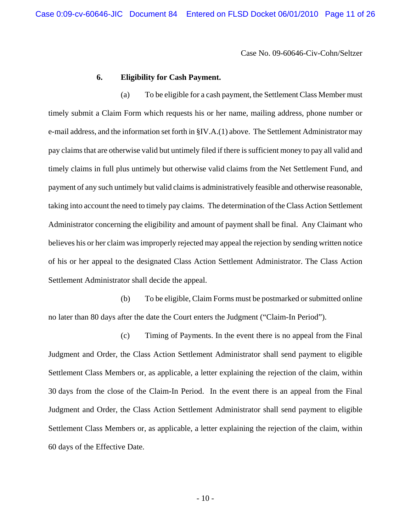Case 0:09-cv-60646-JIC Document 84 Entered on FLSD Docket 06/01/2010 Page 11 of 26

Case No. 09-60646-Civ-Cohn/Seltzer

#### **6. Eligibility for Cash Payment.**

(a) To be eligible for a cash payment, the Settlement Class Member must timely submit a Claim Form which requests his or her name, mailing address, phone number or e-mail address, and the information set forth in §IV.A.(1) above. The Settlement Administrator may pay claims that are otherwise valid but untimely filed if there is sufficient money to pay all valid and timely claims in full plus untimely but otherwise valid claims from the Net Settlement Fund, and payment of any such untimely but valid claims is administratively feasible and otherwise reasonable, taking into account the need to timely pay claims. The determination of the Class Action Settlement Administrator concerning the eligibility and amount of payment shall be final. Any Claimant who believes his or her claim was improperly rejected may appeal the rejection by sending written notice of his or her appeal to the designated Class Action Settlement Administrator. The Class Action Settlement Administrator shall decide the appeal.

(b) To be eligible, Claim Forms must be postmarked or submitted online no later than 80 days after the date the Court enters the Judgment ("Claim-In Period").

(c) Timing of Payments. In the event there is no appeal from the Final Judgment and Order, the Class Action Settlement Administrator shall send payment to eligible Settlement Class Members or, as applicable, a letter explaining the rejection of the claim, within 30 days from the close of the Claim-In Period. In the event there is an appeal from the Final Judgment and Order, the Class Action Settlement Administrator shall send payment to eligible Settlement Class Members or, as applicable, a letter explaining the rejection of the claim, within 60 days of the Effective Date.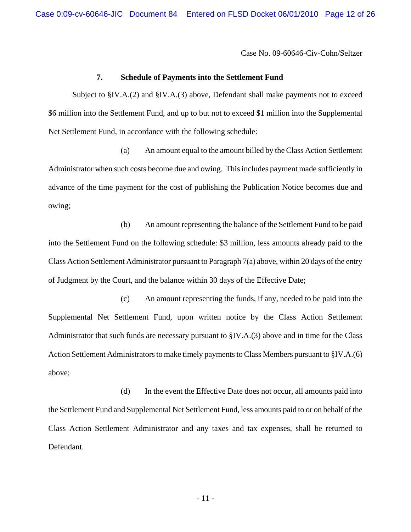### **7. Schedule of Payments into the Settlement Fund**

Subject to §IV.A.(2) and §IV.A.(3) above, Defendant shall make payments not to exceed \$6 million into the Settlement Fund, and up to but not to exceed \$1 million into the Supplemental Net Settlement Fund, in accordance with the following schedule:

(a) An amount equal to the amount billed by the Class Action Settlement Administrator when such costs become due and owing. This includes payment made sufficiently in advance of the time payment for the cost of publishing the Publication Notice becomes due and owing;

(b) An amount representing the balance of the Settlement Fund to be paid into the Settlement Fund on the following schedule: \$3 million, less amounts already paid to the Class Action Settlement Administrator pursuant to Paragraph 7(a) above, within 20 days of the entry of Judgment by the Court, and the balance within 30 days of the Effective Date;

(c) An amount representing the funds, if any, needed to be paid into the Supplemental Net Settlement Fund, upon written notice by the Class Action Settlement Administrator that such funds are necessary pursuant to §IV.A.(3) above and in time for the Class Action Settlement Administrators to make timely payments to Class Members pursuant to §IV.A.(6) above;

(d) In the event the Effective Date does not occur, all amounts paid into the Settlement Fund and Supplemental Net Settlement Fund, less amounts paid to or on behalf of the Class Action Settlement Administrator and any taxes and tax expenses, shall be returned to Defendant.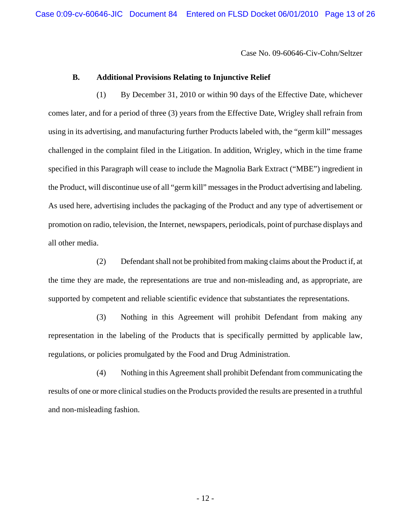### **B. Additional Provisions Relating to Injunctive Relief**

(1) By December 31, 2010 or within 90 days of the Effective Date, whichever comes later, and for a period of three (3) years from the Effective Date, Wrigley shall refrain from using in its advertising, and manufacturing further Products labeled with, the "germ kill" messages challenged in the complaint filed in the Litigation. In addition, Wrigley, which in the time frame specified in this Paragraph will cease to include the Magnolia Bark Extract ("MBE") ingredient in the Product, will discontinue use of all "germ kill" messages in the Product advertising and labeling. As used here, advertising includes the packaging of the Product and any type of advertisement or promotion on radio, television, the Internet, newspapers, periodicals, point of purchase displays and all other media.

(2) Defendant shall not be prohibited from making claims about the Product if, at the time they are made, the representations are true and non-misleading and, as appropriate, are supported by competent and reliable scientific evidence that substantiates the representations.

(3) Nothing in this Agreement will prohibit Defendant from making any representation in the labeling of the Products that is specifically permitted by applicable law, regulations, or policies promulgated by the Food and Drug Administration.

(4) Nothing in this Agreement shall prohibit Defendant from communicating the results of one or more clinical studies on the Products provided the results are presented in a truthful and non-misleading fashion.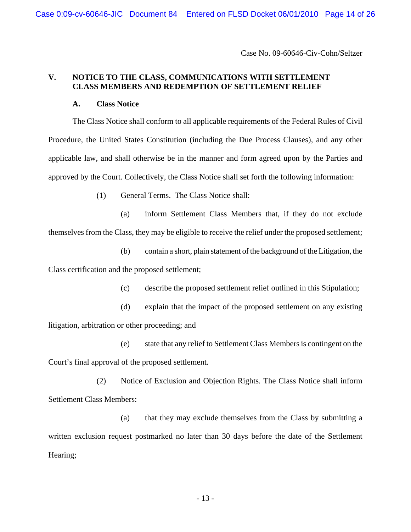## **V. NOTICE TO THE CLASS, COMMUNICATIONS WITH SETTLEMENT CLASS MEMBERS AND REDEMPTION OF SETTLEMENT RELIEF**

### **A. Class Notice**

The Class Notice shall conform to all applicable requirements of the Federal Rules of Civil Procedure, the United States Constitution (including the Due Process Clauses), and any other applicable law, and shall otherwise be in the manner and form agreed upon by the Parties and approved by the Court. Collectively, the Class Notice shall set forth the following information:

(1) General Terms. The Class Notice shall:

(a) inform Settlement Class Members that, if they do not exclude themselves from the Class, they may be eligible to receive the relief under the proposed settlement;

(b) contain a short, plain statement of the background of the Litigation, the Class certification and the proposed settlement;

- (c) describe the proposed settlement relief outlined in this Stipulation;
- (d) explain that the impact of the proposed settlement on any existing litigation, arbitration or other proceeding; and

(e) state that any relief to Settlement Class Members is contingent on the Court's final approval of the proposed settlement.

(2) Notice of Exclusion and Objection Rights. The Class Notice shall inform Settlement Class Members:

(a) that they may exclude themselves from the Class by submitting a written exclusion request postmarked no later than 30 days before the date of the Settlement Hearing;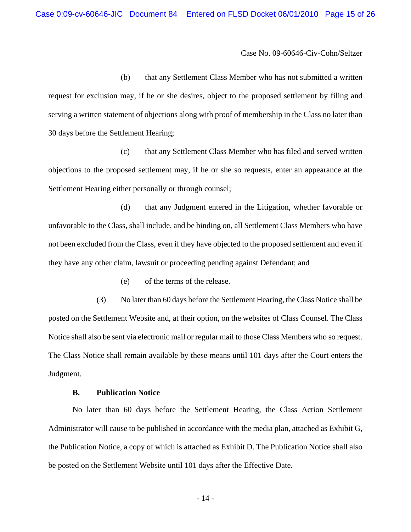(b) that any Settlement Class Member who has not submitted a written request for exclusion may, if he or she desires, object to the proposed settlement by filing and serving a written statement of objections along with proof of membership in the Class no later than 30 days before the Settlement Hearing;

(c) that any Settlement Class Member who has filed and served written objections to the proposed settlement may, if he or she so requests, enter an appearance at the Settlement Hearing either personally or through counsel;

(d) that any Judgment entered in the Litigation, whether favorable or unfavorable to the Class, shall include, and be binding on, all Settlement Class Members who have not been excluded from the Class, even if they have objected to the proposed settlement and even if they have any other claim, lawsuit or proceeding pending against Defendant; and

(e) of the terms of the release.

(3) No later than 60 days before the Settlement Hearing, the Class Notice shall be posted on the Settlement Website and, at their option, on the websites of Class Counsel. The Class Notice shall also be sent via electronic mail or regular mail to those Class Members who so request. The Class Notice shall remain available by these means until 101 days after the Court enters the Judgment.

### **B. Publication Notice**

No later than 60 days before the Settlement Hearing, the Class Action Settlement Administrator will cause to be published in accordance with the media plan, attached as Exhibit G, the Publication Notice, a copy of which is attached as Exhibit D. The Publication Notice shall also be posted on the Settlement Website until 101 days after the Effective Date.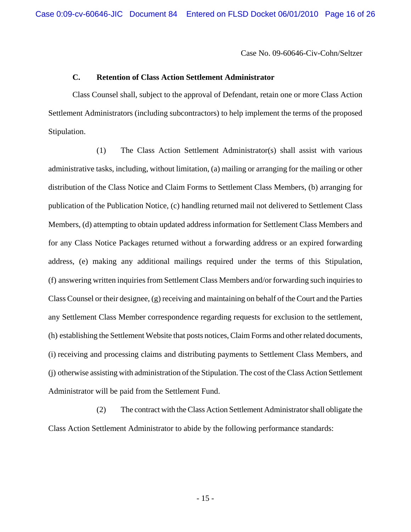### **C. Retention of Class Action Settlement Administrator**

Class Counsel shall, subject to the approval of Defendant, retain one or more Class Action Settlement Administrators (including subcontractors) to help implement the terms of the proposed Stipulation.

(1) The Class Action Settlement Administrator(s) shall assist with various administrative tasks, including, without limitation, (a) mailing or arranging for the mailing or other distribution of the Class Notice and Claim Forms to Settlement Class Members, (b) arranging for publication of the Publication Notice, (c) handling returned mail not delivered to Settlement Class Members, (d) attempting to obtain updated address information for Settlement Class Members and for any Class Notice Packages returned without a forwarding address or an expired forwarding address, (e) making any additional mailings required under the terms of this Stipulation, (f) answering written inquiries from Settlement Class Members and/or forwarding such inquiries to Class Counsel or their designee, (g) receiving and maintaining on behalf of the Court and the Parties any Settlement Class Member correspondence regarding requests for exclusion to the settlement, (h) establishing the Settlement Website that posts notices, Claim Forms and other related documents, (i) receiving and processing claims and distributing payments to Settlement Class Members, and (j) otherwise assisting with administration of the Stipulation. The cost of the Class Action Settlement Administrator will be paid from the Settlement Fund.

(2) The contract with the Class Action Settlement Administrator shall obligate the Class Action Settlement Administrator to abide by the following performance standards: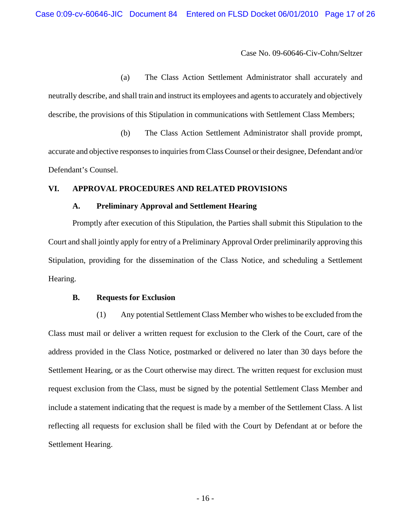(a) The Class Action Settlement Administrator shall accurately and neutrally describe, and shall train and instruct its employees and agents to accurately and objectively describe, the provisions of this Stipulation in communications with Settlement Class Members;

(b) The Class Action Settlement Administrator shall provide prompt, accurate and objective responses to inquiries from Class Counsel or their designee, Defendant and/or Defendant's Counsel.

### **VI. APPROVAL PROCEDURES AND RELATED PROVISIONS**

#### **A. Preliminary Approval and Settlement Hearing**

Promptly after execution of this Stipulation, the Parties shall submit this Stipulation to the Court and shall jointly apply for entry of a Preliminary Approval Order preliminarily approving this Stipulation, providing for the dissemination of the Class Notice, and scheduling a Settlement Hearing.

#### **B. Requests for Exclusion**

(1) Any potential Settlement Class Member who wishes to be excluded from the Class must mail or deliver a written request for exclusion to the Clerk of the Court, care of the address provided in the Class Notice, postmarked or delivered no later than 30 days before the Settlement Hearing, or as the Court otherwise may direct. The written request for exclusion must request exclusion from the Class, must be signed by the potential Settlement Class Member and include a statement indicating that the request is made by a member of the Settlement Class. A list reflecting all requests for exclusion shall be filed with the Court by Defendant at or before the Settlement Hearing.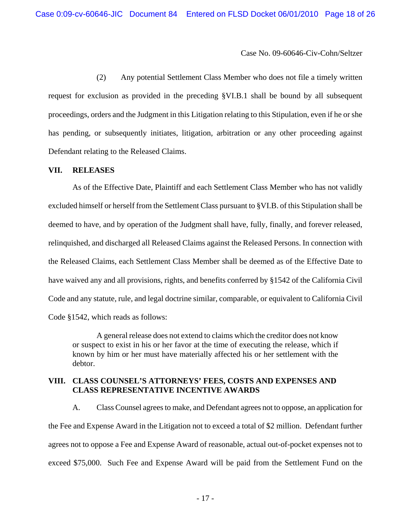(2) Any potential Settlement Class Member who does not file a timely written request for exclusion as provided in the preceding §VI.B.1 shall be bound by all subsequent proceedings, orders and the Judgment in this Litigation relating to this Stipulation, even if he or she has pending, or subsequently initiates, litigation, arbitration or any other proceeding against Defendant relating to the Released Claims.

### **VII. RELEASES**

As of the Effective Date, Plaintiff and each Settlement Class Member who has not validly excluded himself or herself from the Settlement Class pursuant to §VI.B. of this Stipulation shall be deemed to have, and by operation of the Judgment shall have, fully, finally, and forever released, relinquished, and discharged all Released Claims against the Released Persons. In connection with the Released Claims, each Settlement Class Member shall be deemed as of the Effective Date to have waived any and all provisions, rights, and benefits conferred by §1542 of the California Civil Code and any statute, rule, and legal doctrine similar, comparable, or equivalent to California Civil Code §1542, which reads as follows:

A general release does not extend to claims which the creditor does not know or suspect to exist in his or her favor at the time of executing the release, which if known by him or her must have materially affected his or her settlement with the debtor.

# **VIII. CLASS COUNSEL'S ATTORNEYS' FEES, COSTS AND EXPENSES AND CLASS REPRESENTATIVE INCENTIVE AWARDS**

A. Class Counsel agrees to make, and Defendant agrees not to oppose, an application for the Fee and Expense Award in the Litigation not to exceed a total of \$2 million. Defendant further agrees not to oppose a Fee and Expense Award of reasonable, actual out-of-pocket expenses not to exceed \$75,000. Such Fee and Expense Award will be paid from the Settlement Fund on the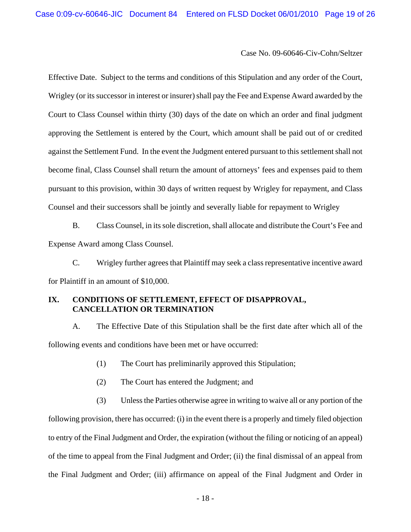Effective Date. Subject to the terms and conditions of this Stipulation and any order of the Court, Wrigley (or its successor in interest or insurer) shall pay the Fee and Expense Award awarded by the Court to Class Counsel within thirty (30) days of the date on which an order and final judgment approving the Settlement is entered by the Court, which amount shall be paid out of or credited against the Settlement Fund. In the event the Judgment entered pursuant to this settlement shall not become final, Class Counsel shall return the amount of attorneys' fees and expenses paid to them pursuant to this provision, within 30 days of written request by Wrigley for repayment, and Class Counsel and their successors shall be jointly and severally liable for repayment to Wrigley

B. Class Counsel, in its sole discretion, shall allocate and distribute the Court's Fee and Expense Award among Class Counsel.

C. Wrigley further agrees that Plaintiff may seek a class representative incentive award for Plaintiff in an amount of \$10,000.

# **IX. CONDITIONS OF SETTLEMENT, EFFECT OF DISAPPROVAL, CANCELLATION OR TERMINATION**

A. The Effective Date of this Stipulation shall be the first date after which all of the following events and conditions have been met or have occurred:

- (1) The Court has preliminarily approved this Stipulation;
- (2) The Court has entered the Judgment; and

(3) Unless the Parties otherwise agree in writing to waive all or any portion of the following provision, there has occurred: (i) in the event there is a properly and timely filed objection to entry of the Final Judgment and Order, the expiration (without the filing or noticing of an appeal) of the time to appeal from the Final Judgment and Order; (ii) the final dismissal of an appeal from the Final Judgment and Order; (iii) affirmance on appeal of the Final Judgment and Order in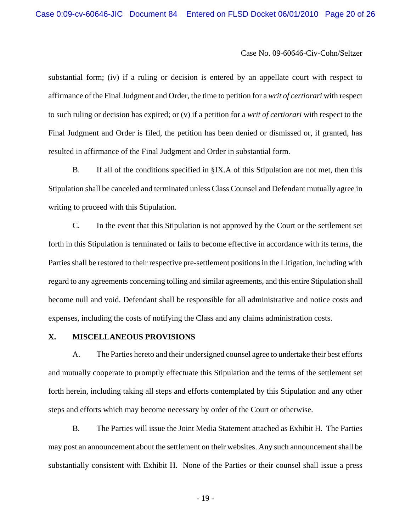substantial form; (iv) if a ruling or decision is entered by an appellate court with respect to affirmance of the Final Judgment and Order, the time to petition for a *writ of certiorari* with respect to such ruling or decision has expired; or (v) if a petition for a *writ of certiorari* with respect to the Final Judgment and Order is filed, the petition has been denied or dismissed or, if granted, has resulted in affirmance of the Final Judgment and Order in substantial form.

B. If all of the conditions specified in §IX.A of this Stipulation are not met, then this Stipulation shall be canceled and terminated unless Class Counsel and Defendant mutually agree in writing to proceed with this Stipulation.

C. In the event that this Stipulation is not approved by the Court or the settlement set forth in this Stipulation is terminated or fails to become effective in accordance with its terms, the Parties shall be restored to their respective pre-settlement positions in the Litigation, including with regard to any agreements concerning tolling and similar agreements, and this entire Stipulation shall become null and void. Defendant shall be responsible for all administrative and notice costs and expenses, including the costs of notifying the Class and any claims administration costs.

### **X. MISCELLANEOUS PROVISIONS**

A. The Parties hereto and their undersigned counsel agree to undertake their best efforts and mutually cooperate to promptly effectuate this Stipulation and the terms of the settlement set forth herein, including taking all steps and efforts contemplated by this Stipulation and any other steps and efforts which may become necessary by order of the Court or otherwise.

B. The Parties will issue the Joint Media Statement attached as Exhibit H. The Parties may post an announcement about the settlement on their websites. Any such announcement shall be substantially consistent with Exhibit H. None of the Parties or their counsel shall issue a press

- 19 -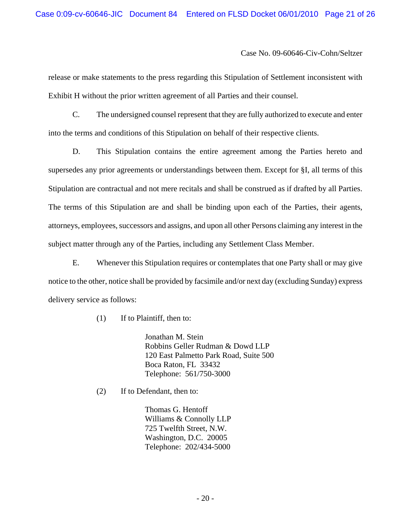release or make statements to the press regarding this Stipulation of Settlement inconsistent with Exhibit H without the prior written agreement of all Parties and their counsel.

C. The undersigned counsel represent that they are fully authorized to execute and enter into the terms and conditions of this Stipulation on behalf of their respective clients.

D. This Stipulation contains the entire agreement among the Parties hereto and supersedes any prior agreements or understandings between them. Except for §I, all terms of this Stipulation are contractual and not mere recitals and shall be construed as if drafted by all Parties. The terms of this Stipulation are and shall be binding upon each of the Parties, their agents, attorneys, employees, successors and assigns, and upon all other Persons claiming any interest in the subject matter through any of the Parties, including any Settlement Class Member.

E. Whenever this Stipulation requires or contemplates that one Party shall or may give notice to the other, notice shall be provided by facsimile and/or next day (excluding Sunday) express delivery service as follows:

(1) If to Plaintiff, then to:

Jonathan M. Stein Robbins Geller Rudman & Dowd LLP 120 East Palmetto Park Road, Suite 500 Boca Raton, FL 33432 Telephone: 561/750-3000

(2) If to Defendant, then to:

Thomas G. Hentoff Williams & Connolly LLP 725 Twelfth Street, N.W. Washington, D.C. 20005 Telephone: 202/434-5000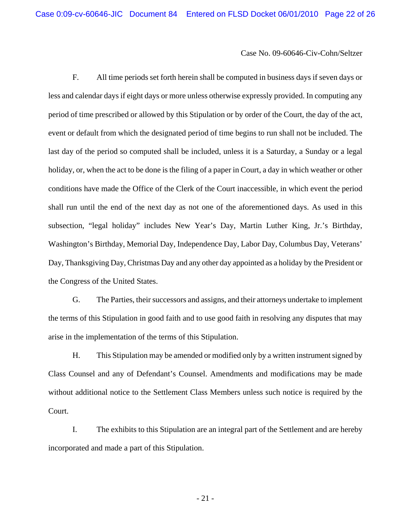F. All time periods set forth herein shall be computed in business days if seven days or less and calendar days if eight days or more unless otherwise expressly provided. In computing any period of time prescribed or allowed by this Stipulation or by order of the Court, the day of the act, event or default from which the designated period of time begins to run shall not be included. The last day of the period so computed shall be included, unless it is a Saturday, a Sunday or a legal holiday, or, when the act to be done is the filing of a paper in Court, a day in which weather or other conditions have made the Office of the Clerk of the Court inaccessible, in which event the period shall run until the end of the next day as not one of the aforementioned days. As used in this subsection, "legal holiday" includes New Year's Day, Martin Luther King, Jr.'s Birthday, Washington's Birthday, Memorial Day, Independence Day, Labor Day, Columbus Day, Veterans' Day, Thanksgiving Day, Christmas Day and any other day appointed as a holiday by the President or the Congress of the United States.

G. The Parties, their successors and assigns, and their attorneys undertake to implement the terms of this Stipulation in good faith and to use good faith in resolving any disputes that may arise in the implementation of the terms of this Stipulation.

H. This Stipulation may be amended or modified only by a written instrument signed by Class Counsel and any of Defendant's Counsel. Amendments and modifications may be made without additional notice to the Settlement Class Members unless such notice is required by the Court.

I. The exhibits to this Stipulation are an integral part of the Settlement and are hereby incorporated and made a part of this Stipulation.

- 21 -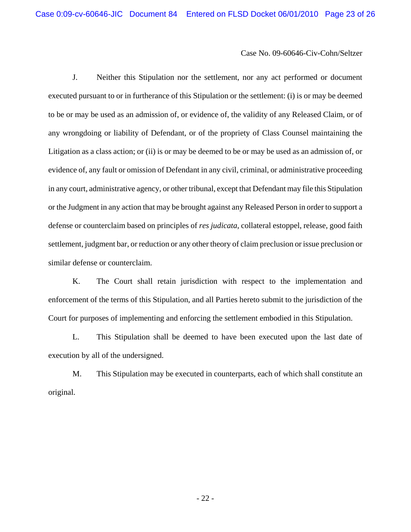J. Neither this Stipulation nor the settlement, nor any act performed or document executed pursuant to or in furtherance of this Stipulation or the settlement: (i) is or may be deemed to be or may be used as an admission of, or evidence of, the validity of any Released Claim, or of any wrongdoing or liability of Defendant, or of the propriety of Class Counsel maintaining the Litigation as a class action; or (ii) is or may be deemed to be or may be used as an admission of, or evidence of, any fault or omission of Defendant in any civil, criminal, or administrative proceeding in any court, administrative agency, or other tribunal, except that Defendant may file this Stipulation or the Judgment in any action that may be brought against any Released Person in order to support a defense or counterclaim based on principles of *res judicata*, collateral estoppel, release, good faith settlement, judgment bar, or reduction or any other theory of claim preclusion or issue preclusion or similar defense or counterclaim.

K. The Court shall retain jurisdiction with respect to the implementation and enforcement of the terms of this Stipulation, and all Parties hereto submit to the jurisdiction of the Court for purposes of implementing and enforcing the settlement embodied in this Stipulation.

L. This Stipulation shall be deemed to have been executed upon the last date of execution by all of the undersigned.

M. This Stipulation may be executed in counterparts, each of which shall constitute an original.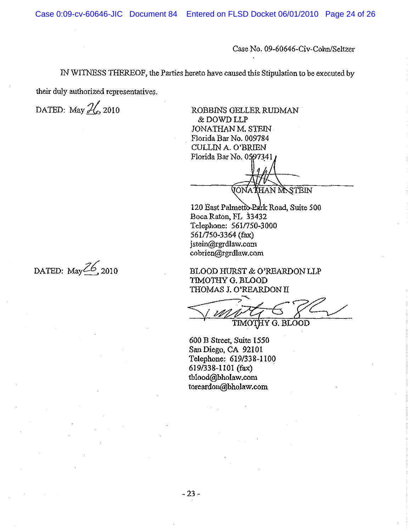IN WITNESS THEREOF, the Partics hereto have caused this Stipulation to be executed by

their duly authorized representatives.

DATED: May  $\frac{2}{\pi}$ , 2010 ROBBINS GELLER RUDMAN & DOWD LLP JONATHAN M. STEIN Florida Bar No. 009784 CULLIN A. O'BRIEN Florida Bar No. 0597341

(IONA) **T**HAN M.STEIN

120 East Palmetto-Park Road, Suite 500<br>Boca Raton, FL 33432 Telephone: 561/750-3000 561/7s0-3364 (fax) jstein@rgrdlaw.com cobrien@rgrdlaw.com

BLOOÞ HIIRST & O'REARDON LLP TIMOTHY G. BLOOD THOMAS J. O'REARDON II

TIMOTHY G. BLOOD

600 B Strcet, Suiæ 1550 San Diego, CA 92101 Telephone: 619/338-1100 619 $/338-1101$  (fax) tblood@bholaw.com torcardon@bholaw.com

DATED: May $\mathbb{Z}6$ , 2010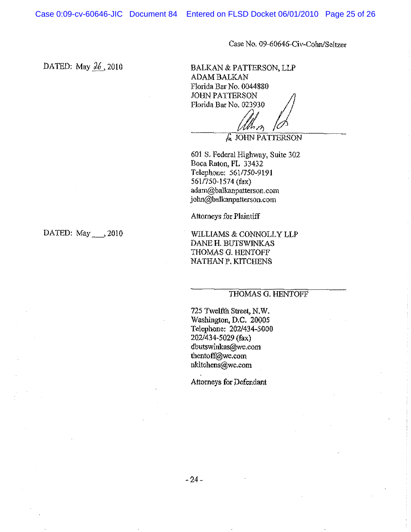Case 0:09-cv-60646-JIC Document 84 Entered on FLSD Docket 06/01/2010 Page 25 of 26

Case No. 09-60646-Civ-Cohn/Seltzer

ÞATED: May 26 ,2010

BALKAN & PATTERSON, LLP ADAM BALKAN Florida Bar No. 0044880<br>Florida Bar No. 0044880<br>Florida Bar No. 023930<br>Ann Albert Response to the Sandwick Scholarship /ì

M. å JoHN PATTERSoN

601 S. Federal Highway, Suite 302 Boca Raton, FL 33432 Telephone: 561/750-9191 561/750-157a (fax) adam@balkanpatærson. com john@balkanpatterson.com

Attorneys for Plaintiff

DATED:  $May \rightarrow 2010$  WILLIAMS & CONNOLLY LLP DANE H. BUTSWINKAS THOMAS G. HENTOFF NATHAN P. KITCHENS

### THOMAS G. HENTOFF

725 Twelfth Street, N.W. Washington, D.C. 20005 Telephone: 202/434-5000 202/434-5029 (fax) dbutswinkas@wc.com thentoff@wc.com nkitchens@wc.com

Attorneys for Defendant